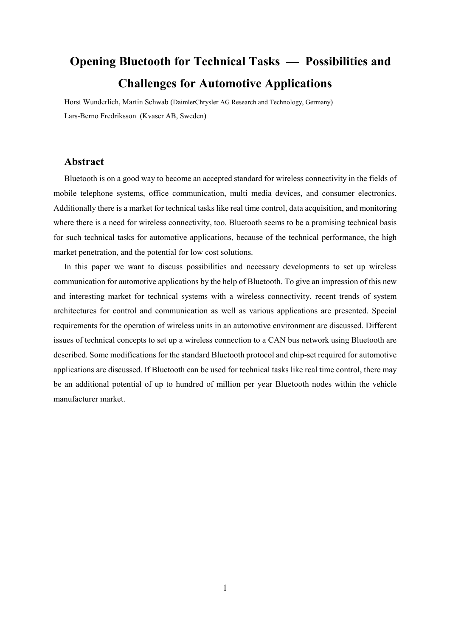# **Opening Bluetooth for Technical Tasks — Possibilities and Challenges for Automotive Applications**

Horst Wunderlich, Martin Schwab (DaimlerChrysler AG Research and Technology, Germany) Lars-Berno Fredriksson (Kvaser AB, Sweden)

# **Abstract**

Bluetooth is on a good way to become an accepted standard for wireless connectivity in the fields of mobile telephone systems, office communication, multi media devices, and consumer electronics. Additionally there is a market for technical tasks like real time control, data acquisition, and monitoring where there is a need for wireless connectivity, too. Bluetooth seems to be a promising technical basis for such technical tasks for automotive applications, because of the technical performance, the high market penetration, and the potential for low cost solutions.

In this paper we want to discuss possibilities and necessary developments to set up wireless communication for automotive applications by the help of Bluetooth. To give an impression of this new and interesting market for technical systems with a wireless connectivity, recent trends of system architectures for control and communication as well as various applications are presented. Special requirements for the operation of wireless units in an automotive environment are discussed. Different issues of technical concepts to set up a wireless connection to a CAN bus network using Bluetooth are described. Some modifications for the standard Bluetooth protocol and chip-set required for automotive applications are discussed. If Bluetooth can be used for technical tasks like real time control, there may be an additional potential of up to hundred of million per year Bluetooth nodes within the vehicle manufacturer market.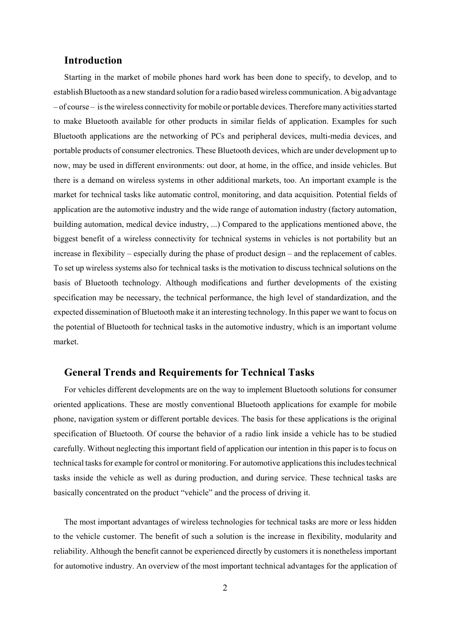# **Introduction**

Starting in the market of mobile phones hard work has been done to specify, to develop, and to establish Bluetooth as a new standard solution for a radio based wireless communication. A big advantage – of course – is the wireless connectivity for mobile or portable devices. Therefore many activities started to make Bluetooth available for other products in similar fields of application. Examples for such Bluetooth applications are the networking of PCs and peripheral devices, multi-media devices, and portable products of consumer electronics. These Bluetooth devices, which are under development up to now, may be used in different environments: out door, at home, in the office, and inside vehicles. But there is a demand on wireless systems in other additional markets, too. An important example is the market for technical tasks like automatic control, monitoring, and data acquisition. Potential fields of application are the automotive industry and the wide range of automation industry (factory automation, building automation, medical device industry, ...) Compared to the applications mentioned above, the biggest benefit of a wireless connectivity for technical systems in vehicles is not portability but an increase in flexibility – especially during the phase of product design – and the replacement of cables. To set up wireless systems also for technical tasks is the motivation to discuss technical solutions on the basis of Bluetooth technology. Although modifications and further developments of the existing specification may be necessary, the technical performance, the high level of standardization, and the expected dissemination of Bluetooth make it an interesting technology. In this paper we want to focus on the potential of Bluetooth for technical tasks in the automotive industry, which is an important volume market.

# **General Trends and Requirements for Technical Tasks**

For vehicles different developments are on the way to implement Bluetooth solutions for consumer oriented applications. These are mostly conventional Bluetooth applications for example for mobile phone, navigation system or different portable devices. The basis for these applications is the original specification of Bluetooth. Of course the behavior of a radio link inside a vehicle has to be studied carefully. Without neglecting this important field of application our intention in this paper is to focus on technical tasks for example for control or monitoring. For automotive applications this includes technical tasks inside the vehicle as well as during production, and during service. These technical tasks are basically concentrated on the product "vehicle" and the process of driving it.

The most important advantages of wireless technologies for technical tasks are more or less hidden to the vehicle customer. The benefit of such a solution is the increase in flexibility, modularity and reliability. Although the benefit cannot be experienced directly by customers it is nonetheless important for automotive industry. An overview of the most important technical advantages for the application of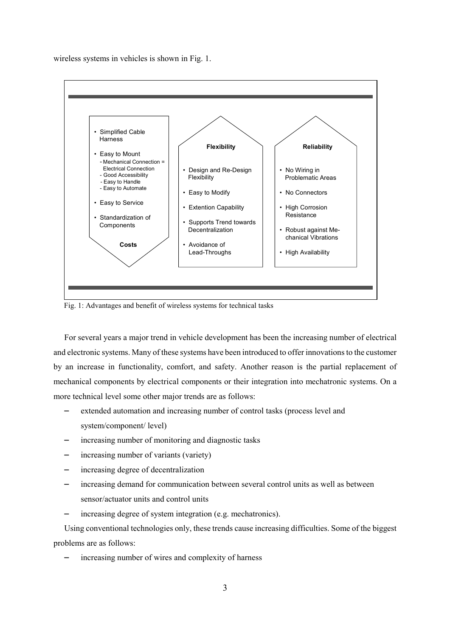wireless systems in vehicles is shown in Fig. 1.



Fig. 1: Advantages and benefit of wireless systems for technical tasks

For several years a major trend in vehicle development has been the increasing number of electrical and electronic systems. Many of these systems have been introduced to offer innovations to the customer by an increase in functionality, comfort, and safety. Another reason is the partial replacement of mechanical components by electrical components or their integration into mechatronic systems. On a more technical level some other major trends are as follows:

- extended automation and increasing number of control tasks (process level and system/component/ level)
- increasing number of monitoring and diagnostic tasks
- increasing number of variants (variety)
- increasing degree of decentralization
- increasing demand for communication between several control units as well as between sensor/actuator units and control units
- increasing degree of system integration (e.g. mechatronics).

Using conventional technologies only, these trends cause increasing difficulties. Some of the biggest problems are as follows:

increasing number of wires and complexity of harness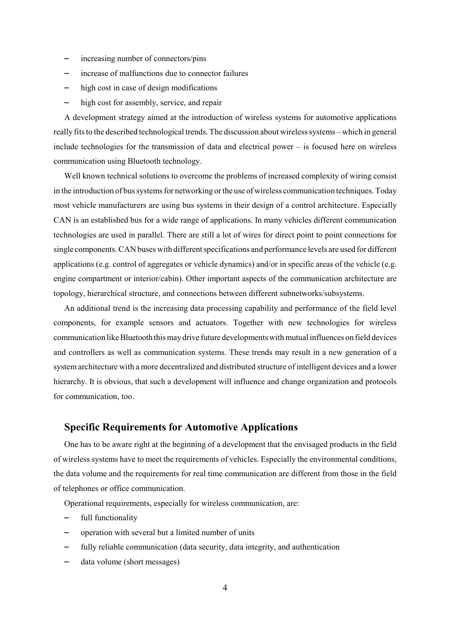- increasing number of connectors/pins
- increase of malfunctions due to connector failures
- high cost in case of design modifications
- high cost for assembly, service, and repair

A development strategy aimed at the introduction of wireless systems for automotive applications really fits to the described technological trends. The discussion about wireless systems – which in general include technologies for the transmission of data and electrical power – is focused here on wireless communication using Bluetooth technology.

Well known technical solutions to overcome the problems of increased complexity of wiring consist in the introduction of bus systems for networking or the use of wireless communication techniques. Today most vehicle manufacturers are using bus systems in their design of a control architecture. Especially CAN is an established bus for a wide range of applications. In many vehicles different communication technologies are used in parallel. There are still a lot of wires for direct point to point connections for single components. CAN buses with different specifications and performance levels are used for different applications (e.g. control of aggregates or vehicle dynamics) and/or in specific areas of the vehicle (e.g. engine compartment or interior/cabin). Other important aspects of the communication architecture are topology, hierarchical structure, and connections between different subnetworks/subsystems.

An additional trend is the increasing data processing capability and performance of the field level components, for example sensors and actuators. Together with new technologies for wireless communication like Bluetooth this may drive future developments with mutual influences on field devices and controllers as well as communication systems. These trends may result in a new generation of a system architecture with a more decentralized and distributed structure of intelligent devices and a lower hierarchy. It is obvious, that such a development will influence and change organization and protocols for communication, too.

# **Specific Requirements for Automotive Applications**

One has to be aware right at the beginning of a development that the envisaged products in the field of wireless systems have to meet the requirements of vehicles. Especially the environmental conditions, the data volume and the requirements for real time communication are different from those in the field of telephones or office communication.

Operational requirements, especially for wireless communication, are:

- full functionality
- operation with several but a limited number of units
- fully reliable communication (data security, data integrity, and authentication
- data volume (short messages)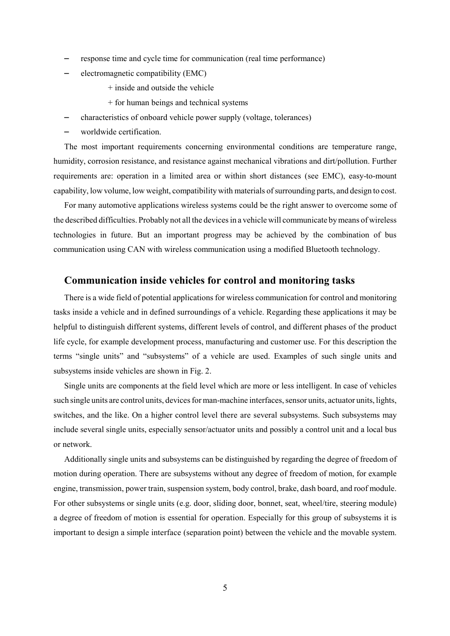- response time and cycle time for communication (real time performance)
- electromagnetic compatibility (EMC)
	- + inside and outside the vehicle
	- + for human beings and technical systems
- characteristics of onboard vehicle power supply (voltage, tolerances)
- worldwide certification.

The most important requirements concerning environmental conditions are temperature range, humidity, corrosion resistance, and resistance against mechanical vibrations and dirt/pollution. Further requirements are: operation in a limited area or within short distances (see EMC), easy-to-mount capability, low volume, low weight, compatibility with materials of surrounding parts, and design to cost.

For many automotive applications wireless systems could be the right answer to overcome some of the described difficulties. Probably not all the devices in a vehicle will communicate by means of wireless technologies in future. But an important progress may be achieved by the combination of bus communication using CAN with wireless communication using a modified Bluetooth technology.

# **Communication inside vehicles for control and monitoring tasks**

There is a wide field of potential applications for wireless communication for control and monitoring tasks inside a vehicle and in defined surroundings of a vehicle. Regarding these applications it may be helpful to distinguish different systems, different levels of control, and different phases of the product life cycle, for example development process, manufacturing and customer use. For this description the terms "single units" and "subsystems" of a vehicle are used. Examples of such single units and subsystems inside vehicles are shown in Fig. 2.

Single units are components at the field level which are more or less intelligent. In case of vehicles such single units are control units, devices for man-machine interfaces, sensor units, actuator units, lights, switches, and the like. On a higher control level there are several subsystems. Such subsystems may include several single units, especially sensor/actuator units and possibly a control unit and a local bus or network.

Additionally single units and subsystems can be distinguished by regarding the degree of freedom of motion during operation. There are subsystems without any degree of freedom of motion, for example engine, transmission, power train, suspension system, body control, brake, dash board, and roof module. For other subsystems or single units (e.g. door, sliding door, bonnet, seat, wheel/tire, steering module) a degree of freedom of motion is essential for operation. Especially for this group of subsystems it is important to design a simple interface (separation point) between the vehicle and the movable system.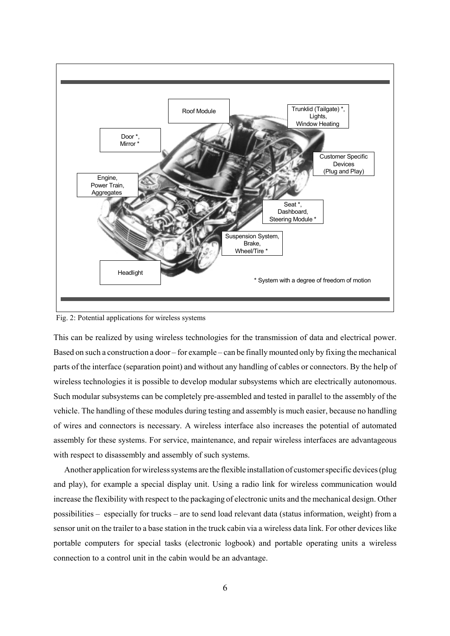

Fig. 2: Potential applications for wireless systems

This can be realized by using wireless technologies for the transmission of data and electrical power. Based on such a construction a door – for example – can be finally mounted only by fixing the mechanical parts of the interface (separation point) and without any handling of cables or connectors. By the help of wireless technologies it is possible to develop modular subsystems which are electrically autonomous. Such modular subsystems can be completely pre-assembled and tested in parallel to the assembly of the vehicle. The handling of these modules during testing and assembly is much easier, because no handling of wires and connectors is necessary. A wireless interface also increases the potential of automated assembly for these systems. For service, maintenance, and repair wireless interfaces are advantageous with respect to disassembly and assembly of such systems.

Another application for wireless systems are the flexible installation of customer specific devices (plug and play), for example a special display unit. Using a radio link for wireless communication would increase the flexibility with respect to the packaging of electronic units and the mechanical design. Other possibilities – especially for trucks – are to send load relevant data (status information, weight) from a sensor unit on the trailer to a base station in the truck cabin via a wireless data link. For other devices like portable computers for special tasks (electronic logbook) and portable operating units a wireless connection to a control unit in the cabin would be an advantage.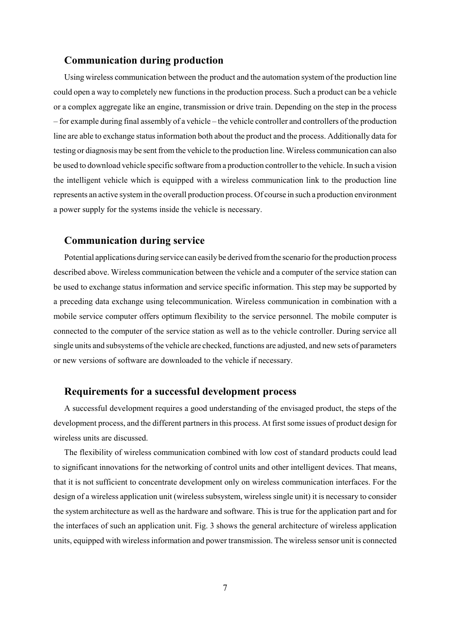# **Communication during production**

Using wireless communication between the product and the automation system of the production line could open a way to completely new functions in the production process. Such a product can be a vehicle or a complex aggregate like an engine, transmission or drive train. Depending on the step in the process – for example during final assembly of a vehicle – the vehicle controller and controllers of the production line are able to exchange status information both about the product and the process. Additionally data for testing or diagnosis may be sent from the vehicle to the production line. Wireless communication can also be used to download vehicle specific software from a production controller to the vehicle. In such a vision the intelligent vehicle which is equipped with a wireless communication link to the production line represents an active system in the overall production process. Of course in such a production environment a power supply for the systems inside the vehicle is necessary.

# **Communication during service**

Potential applications during service can easily be derived from the scenario for the production process described above. Wireless communication between the vehicle and a computer of the service station can be used to exchange status information and service specific information. This step may be supported by a preceding data exchange using telecommunication. Wireless communication in combination with a mobile service computer offers optimum flexibility to the service personnel. The mobile computer is connected to the computer of the service station as well as to the vehicle controller. During service all single units and subsystems of the vehicle are checked, functions are adjusted, and new sets of parameters or new versions of software are downloaded to the vehicle if necessary.

# **Requirements for a successful development process**

A successful development requires a good understanding of the envisaged product, the steps of the development process, and the different partners in this process. At first some issues of product design for wireless units are discussed.

The flexibility of wireless communication combined with low cost of standard products could lead to significant innovations for the networking of control units and other intelligent devices. That means, that it is not sufficient to concentrate development only on wireless communication interfaces. For the design of a wireless application unit (wireless subsystem, wireless single unit) it is necessary to consider the system architecture as well as the hardware and software. This is true for the application part and for the interfaces of such an application unit. Fig. 3 shows the general architecture of wireless application units, equipped with wireless information and power transmission. The wireless sensor unit is connected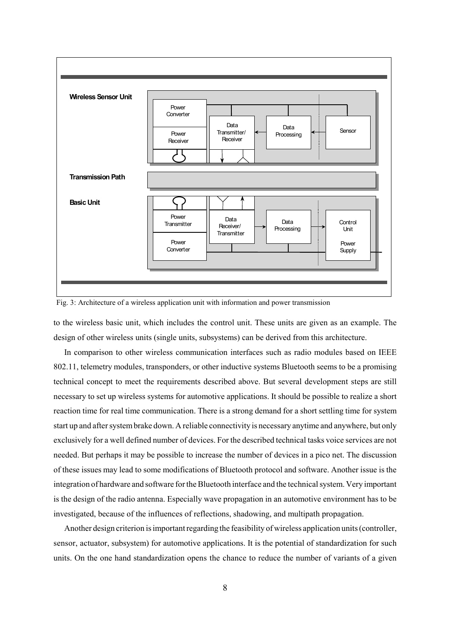

Fig. 3: Architecture of a wireless application unit with information and power transmission

to the wireless basic unit, which includes the control unit. These units are given as an example. The design of other wireless units (single units, subsystems) can be derived from this architecture.

In comparison to other wireless communication interfaces such as radio modules based on IEEE 802.11, telemetry modules, transponders, or other inductive systems Bluetooth seems to be a promising technical concept to meet the requirements described above. But several development steps are still necessary to set up wireless systems for automotive applications. It should be possible to realize a short reaction time for real time communication. There is a strong demand for a short settling time for system start up and after system brake down. A reliable connectivity is necessary anytime and anywhere, but only exclusively for a well defined number of devices. For the described technical tasks voice services are not needed. But perhaps it may be possible to increase the number of devices in a pico net. The discussion of these issues may lead to some modifications of Bluetooth protocol and software. Another issue is the integration of hardware and software for the Bluetooth interface and the technical system. Very important is the design of the radio antenna. Especially wave propagation in an automotive environment has to be investigated, because of the influences of reflections, shadowing, and multipath propagation.

Another design criterion is important regarding the feasibility of wireless application units (controller, sensor, actuator, subsystem) for automotive applications. It is the potential of standardization for such units. On the one hand standardization opens the chance to reduce the number of variants of a given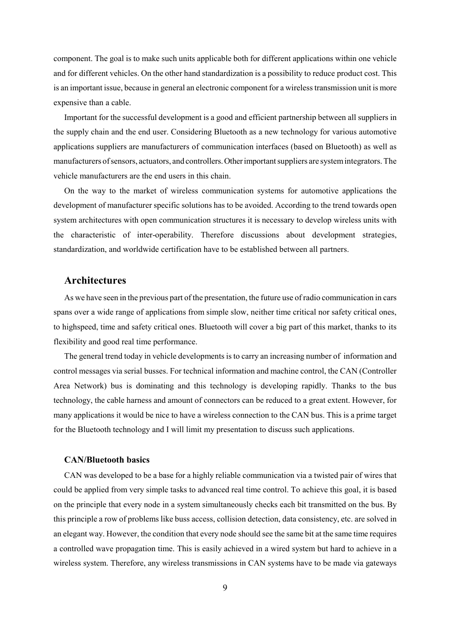component. The goal is to make such units applicable both for different applications within one vehicle and for different vehicles. On the other hand standardization is a possibility to reduce product cost. This is an important issue, because in general an electronic component for a wireless transmission unit is more expensive than a cable.

Important for the successful development is a good and efficient partnership between all suppliers in the supply chain and the end user. Considering Bluetooth as a new technology for various automotive applications suppliers are manufacturers of communication interfaces (based on Bluetooth) as well as manufacturers of sensors, actuators, and controllers. Other important suppliers are system integrators. The vehicle manufacturers are the end users in this chain.

On the way to the market of wireless communication systems for automotive applications the development of manufacturer specific solutions has to be avoided. According to the trend towards open system architectures with open communication structures it is necessary to develop wireless units with the characteristic of inter-operability. Therefore discussions about development strategies, standardization, and worldwide certification have to be established between all partners.

# **Architectures**

As we have seen in the previous part of the presentation, the future use of radio communication in cars spans over a wide range of applications from simple slow, neither time critical nor safety critical ones, to highspeed, time and safety critical ones. Bluetooth will cover a big part of this market, thanks to its flexibility and good real time performance.

The general trend today in vehicle developments is to carry an increasing number of information and control messages via serial busses. For technical information and machine control, the CAN (Controller Area Network) bus is dominating and this technology is developing rapidly. Thanks to the bus technology, the cable harness and amount of connectors can be reduced to a great extent. However, for many applications it would be nice to have a wireless connection to the CAN bus. This is a prime target for the Bluetooth technology and I will limit my presentation to discuss such applications.

## **CAN/Bluetooth basics**

CAN was developed to be a base for a highly reliable communication via a twisted pair of wires that could be applied from very simple tasks to advanced real time control. To achieve this goal, it is based on the principle that every node in a system simultaneously checks each bit transmitted on the bus. By this principle a row of problems like buss access, collision detection, data consistency, etc. are solved in an elegant way. However, the condition that every node should see the same bit at the same time requires a controlled wave propagation time. This is easily achieved in a wired system but hard to achieve in a wireless system. Therefore, any wireless transmissions in CAN systems have to be made via gateways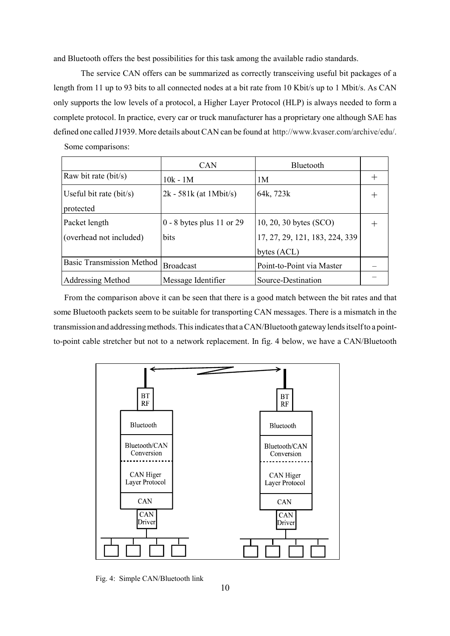and Bluetooth offers the best possibilities for this task among the available radio standards.

The service CAN offers can be summarized as correctly transceiving useful bit packages of a length from 11 up to 93 bits to all connected nodes at a bit rate from 10 Kbit/s up to 1 Mbit/s. As CAN only supports the low levels of a protocol, a Higher Layer Protocol (HLP) is always needed to form a complete protocol. In practice, every car or truck manufacturer has a proprietary one although SAE has defined one called J1939. More details about CAN can be found at http://www.kvaser.com/archive/edu/.

|                                      | <b>CAN</b>                  | Bluetooth                      |      |
|--------------------------------------|-----------------------------|--------------------------------|------|
| Raw bit rate (bit/s)                 | $10k - 1M$                  | 1M                             | $^+$ |
| Useful bit rate (bit/s)<br>protected | $2k - 581k$ (at 1Mbit/s)    | 64k, 723k                      | ┿    |
|                                      |                             |                                |      |
| Packet length                        | $0 - 8$ bytes plus 11 or 29 | 10, 20, 30 bytes (SCO)         |      |
| (overhead not included)              | bits                        | 17, 27, 29, 121, 183, 224, 339 |      |
|                                      |                             | bytes (ACL)                    |      |
| <b>Basic Transmission Method</b>     | <b>Broadcast</b>            | Point-to-Point via Master      |      |
| <b>Addressing Method</b>             | Message Identifier          | Source-Destination             |      |

Some comparisons:

From the comparison above it can be seen that there is a good match between the bit rates and that some Bluetooth packets seem to be suitable for transporting CAN messages. There is a mismatch in the transmission and addressing methods. This indicates that a CAN/Bluetooth gateway lends itself to a pointto-point cable stretcher but not to a network replacement. In fig. 4 below, we have a CAN/Bluetooth



Fig. 4: Simple CAN/Bluetooth link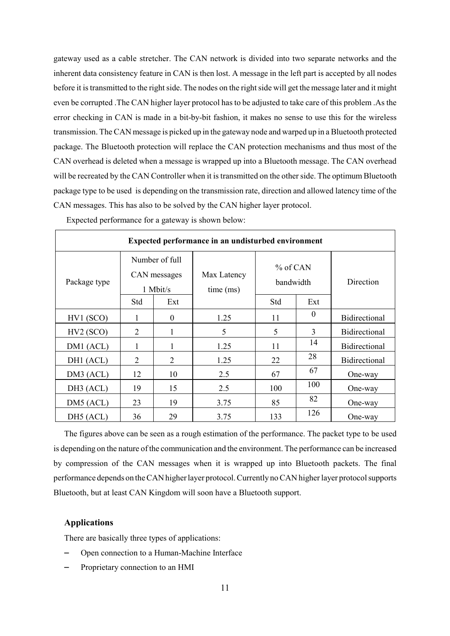gateway used as a cable stretcher. The CAN network is divided into two separate networks and the inherent data consistency feature in CAN is then lost. A message in the left part is accepted by all nodes before it is transmitted to the right side. The nodes on the right side will get the message later and it might even be corrupted .The CAN higher layer protocol has to be adjusted to take care of this problem .As the error checking in CAN is made in a bit-by-bit fashion, it makes no sense to use this for the wireless transmission. The CAN message is picked up in the gateway node and warped up in a Bluetooth protected package. The Bluetooth protection will replace the CAN protection mechanisms and thus most of the CAN overhead is deleted when a message is wrapped up into a Bluetooth message. The CAN overhead will be recreated by the CAN Controller when it is transmitted on the other side. The optimum Bluetooth package type to be used is depending on the transmission rate, direction and allowed latency time of the CAN messages. This has also to be solved by the CAN higher layer protocol.

| Expected performance in an undisturbed environment |                                              |          |                          |                         |          |                      |  |  |
|----------------------------------------------------|----------------------------------------------|----------|--------------------------|-------------------------|----------|----------------------|--|--|
| Package type                                       | Number of full<br>CAN messages<br>$1$ Mbit/s |          | Max Latency<br>time (ms) | $%$ of CAN<br>bandwidth |          | Direction            |  |  |
|                                                    | Std                                          | Ext      |                          | Std                     | Ext      |                      |  |  |
| HV1 (SCO)                                          | 1                                            | $\theta$ | 1.25                     | 11                      | $\theta$ | <b>Bidirectional</b> |  |  |
| HV2 (SCO)                                          | 2                                            | 1        | 5                        | 5                       | 3        | <b>Bidirectional</b> |  |  |
| DM1 (ACL)                                          |                                              |          | 1.25                     | 11                      | 14       | <b>Bidirectional</b> |  |  |
| DH1 (ACL)                                          | 2                                            | 2        | 1.25                     | 22                      | 28       | <b>Bidirectional</b> |  |  |
| $DM3$ (ACL)                                        | 12                                           | 10       | 2.5                      | 67                      | 67       | One-way              |  |  |
| DH3 (ACL)                                          | 19                                           | 15       | 2.5                      | 100                     | 100      | One-way              |  |  |
| DM5 (ACL)                                          | 23                                           | 19       | 3.75                     | 85                      | 82       | One-way              |  |  |
| DH5 (ACL)                                          | 36                                           | 29       | 3.75                     | 133                     | 126      | One-way              |  |  |

Expected performance for a gateway is shown below:

The figures above can be seen as a rough estimation of the performance. The packet type to be used is depending on the nature of the communication and the environment. The performance can be increased by compression of the CAN messages when it is wrapped up into Bluetooth packets. The final performance depends on the CAN higher layer protocol. Currently no CAN higher layer protocol supports Bluetooth, but at least CAN Kingdom will soon have a Bluetooth support.

## **Applications**

There are basically three types of applications:

- Open connection to a Human-Machine Interface
- Proprietary connection to an HMI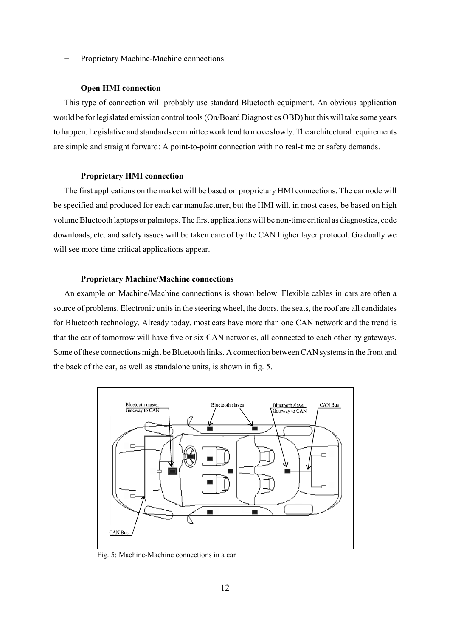Proprietary Machine-Machine connections

### **Open HMI connection**

This type of connection will probably use standard Bluetooth equipment. An obvious application would be for legislated emission control tools (On/Board Diagnostics OBD) but this will take some years to happen. Legislative and standards committee work tend to move slowly. The architectural requirements are simple and straight forward: A point-to-point connection with no real-time or safety demands.

#### **Proprietary HMI connection**

The first applications on the market will be based on proprietary HMI connections. The car node will be specified and produced for each car manufacturer, but the HMI will, in most cases, be based on high volume Bluetooth laptops or palmtops. The first applications will be non-time critical as diagnostics, code downloads, etc. and safety issues will be taken care of by the CAN higher layer protocol. Gradually we will see more time critical applications appear.

#### **Proprietary Machine/Machine connections**

An example on Machine/Machine connections is shown below. Flexible cables in cars are often a source of problems. Electronic units in the steering wheel, the doors, the seats, the roof are all candidates for Bluetooth technology. Already today, most cars have more than one CAN network and the trend is that the car of tomorrow will have five or six CAN networks, all connected to each other by gateways. Some of these connections might be Bluetooth links. A connection between CAN systems in the front and the back of the car, as well as standalone units, is shown in fig. 5.



Fig. 5: Machine-Machine connections in a car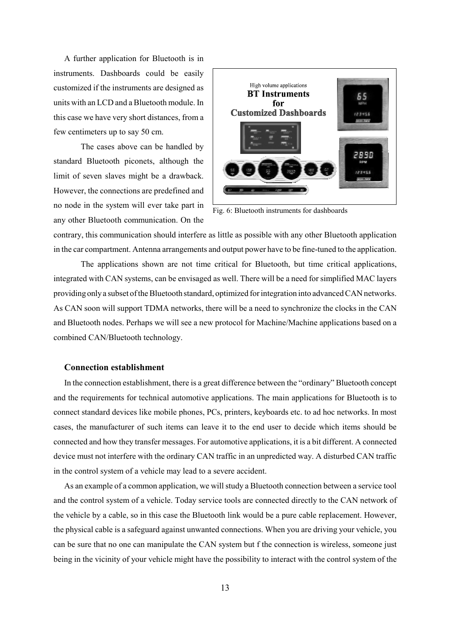A further application for Bluetooth is in instruments. Dashboards could be easily customized if the instruments are designed as units with an LCD and a Bluetooth module. In this case we have very short distances, from a few centimeters up to say 50 cm.

The cases above can be handled by standard Bluetooth piconets, although the limit of seven slaves might be a drawback. However, the connections are predefined and no node in the system will ever take part in any other Bluetooth communication. On the



Fig. 6: Bluetooth instruments for dashboards

contrary, this communication should interfere as little as possible with any other Bluetooth application in the car compartment. Antenna arrangements and output power have to be fine-tuned to the application.

The applications shown are not time critical for Bluetooth, but time critical applications, integrated with CAN systems, can be envisaged as well. There will be a need for simplified MAC layers providing only a subset of the Bluetooth standard, optimized for integration into advanced CAN networks. As CAN soon will support TDMA networks, there will be a need to synchronize the clocks in the CAN and Bluetooth nodes. Perhaps we will see a new protocol for Machine/Machine applications based on a combined CAN/Bluetooth technology.

## **Connection establishment**

In the connection establishment, there is a great difference between the "ordinary" Bluetooth concept and the requirements for technical automotive applications. The main applications for Bluetooth is to connect standard devices like mobile phones, PCs, printers, keyboards etc. to ad hoc networks. In most cases, the manufacturer of such items can leave it to the end user to decide which items should be connected and how they transfer messages. For automotive applications, it is a bit different. A connected device must not interfere with the ordinary CAN traffic in an unpredicted way. A disturbed CAN traffic in the control system of a vehicle may lead to a severe accident.

As an example of a common application, we will study a Bluetooth connection between a service tool and the control system of a vehicle. Today service tools are connected directly to the CAN network of the vehicle by a cable, so in this case the Bluetooth link would be a pure cable replacement. However, the physical cable is a safeguard against unwanted connections. When you are driving your vehicle, you can be sure that no one can manipulate the CAN system but f the connection is wireless, someone just being in the vicinity of your vehicle might have the possibility to interact with the control system of the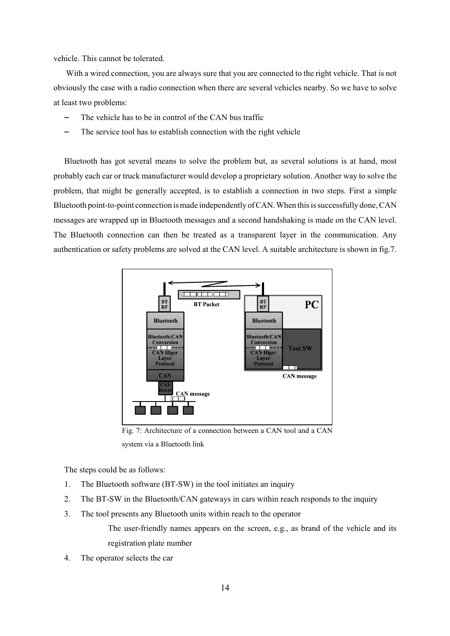vehicle. This cannot be tolerated.

 With a wired connection, you are always sure that you are connected to the right vehicle. That is not obviously the case with a radio connection when there are several vehicles nearby. So we have to solve at least two problems:

- The vehicle has to be in control of the CAN bus traffic
- The service tool has to establish connection with the right vehicle

Bluetooth has got several means to solve the problem but, as several solutions is at hand, most probably each car or truck manufacturer would develop a proprietary solution. Another way to solve the problem, that might be generally accepted, is to establish a connection in two steps. First a simple Bluetooth point-to-point connection is made independently of CAN. When this is successfully done, CAN messages are wrapped up in Bluetooth messages and a second handshaking is made on the CAN level. The Bluetooth connection can then be treated as a transparent layer in the communication. Any authentication or safety problems are solved at the CAN level. A suitable architecture is shown in fig.7.



Fig. 7: Architecture of a connection between a CAN tool and a CAN system via a Bluetooth link

The steps could be as follows:

- 1. The Bluetooth software (BT-SW) in the tool initiates an inquiry
- 2. The BT-SW in the Bluetooth/CAN gateways in cars within reach responds to the inquiry
- 3. The tool presents any Bluetooth units within reach to the operator

The user-friendly names appears on the screen, e.g., as brand of the vehicle and its registration plate number

4. The operator selects the car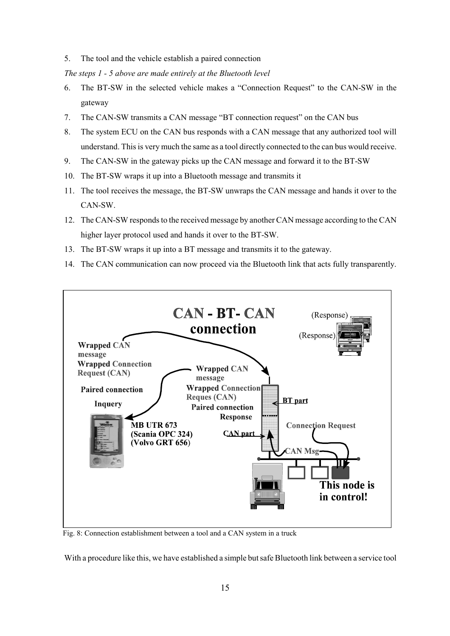5. The tool and the vehicle establish a paired connection

*The steps 1 - 5 above are made entirely at the Bluetooth level*

- 6. The BT-SW in the selected vehicle makes a "Connection Request" to the CAN-SW in the gateway
- 7. The CAN-SW transmits a CAN message "BT connection request" on the CAN bus
- 8. The system ECU on the CAN bus responds with a CAN message that any authorized tool will understand. This is very much the same as a tool directly connected to the can bus would receive.
- 9. The CAN-SW in the gateway picks up the CAN message and forward it to the BT-SW
- 10. The BT-SW wraps it up into a Bluetooth message and transmits it
- 11. The tool receives the message, the BT-SW unwraps the CAN message and hands it over to the CAN-SW.
- 12. The CAN-SW responds to the received message by another CAN message according to the CAN higher layer protocol used and hands it over to the BT-SW.
- 13. The BT-SW wraps it up into a BT message and transmits it to the gateway.
- 14. The CAN communication can now proceed via the Bluetooth link that acts fully transparently.



Fig. 8: Connection establishment between a tool and a CAN system in a truck

With a procedure like this, we have established a simple but safe Bluetooth link between a service tool